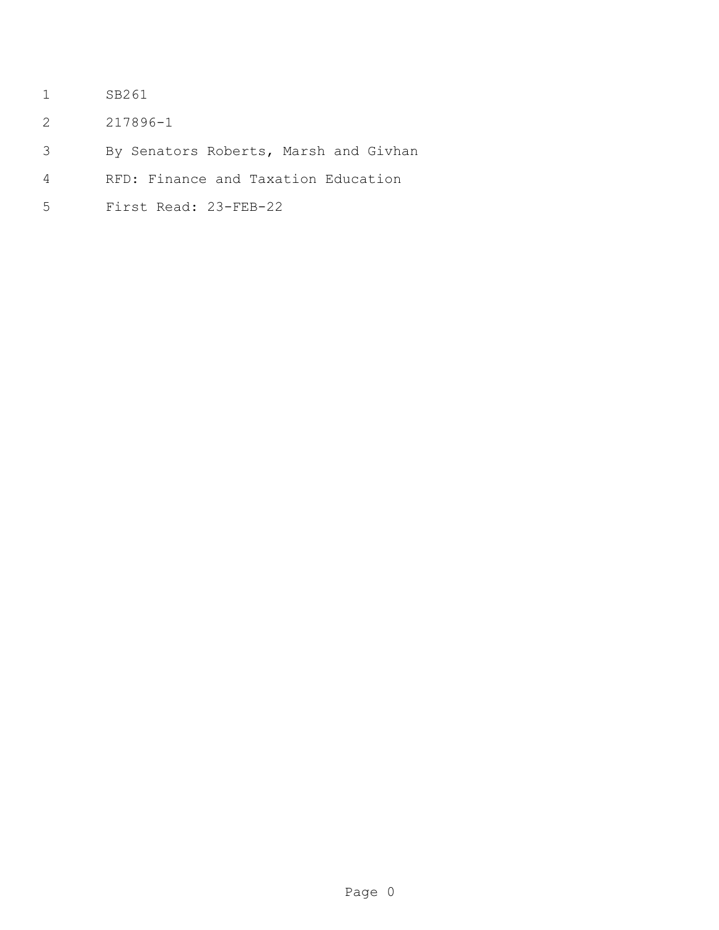- SB261
- 217896-1
- By Senators Roberts, Marsh and Givhan
- RFD: Finance and Taxation Education
- First Read: 23-FEB-22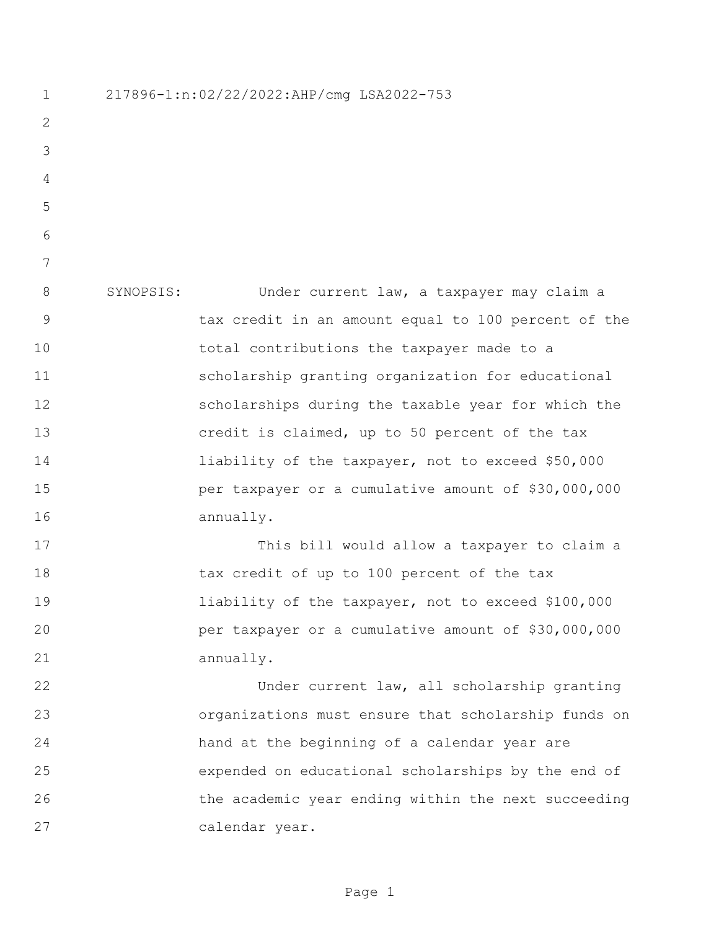217896-1:n:02/22/2022:AHP/cmg LSA2022-753 SYNOPSIS: Under current law, a taxpayer may claim a tax credit in an amount equal to 100 percent of the total contributions the taxpayer made to a scholarship granting organization for educational scholarships during the taxable year for which the credit is claimed, up to 50 percent of the tax liability of the taxpayer, not to exceed \$50,000 per taxpayer or a cumulative amount of \$30,000,000 annually. This bill would allow a taxpayer to claim a 18 tax credit of up to 100 percent of the tax liability of the taxpayer, not to exceed \$100,000 per taxpayer or a cumulative amount of \$30,000,000 annually. Under current law, all scholarship granting organizations must ensure that scholarship funds on hand at the beginning of a calendar year are expended on educational scholarships by the end of the academic year ending within the next succeeding calendar year.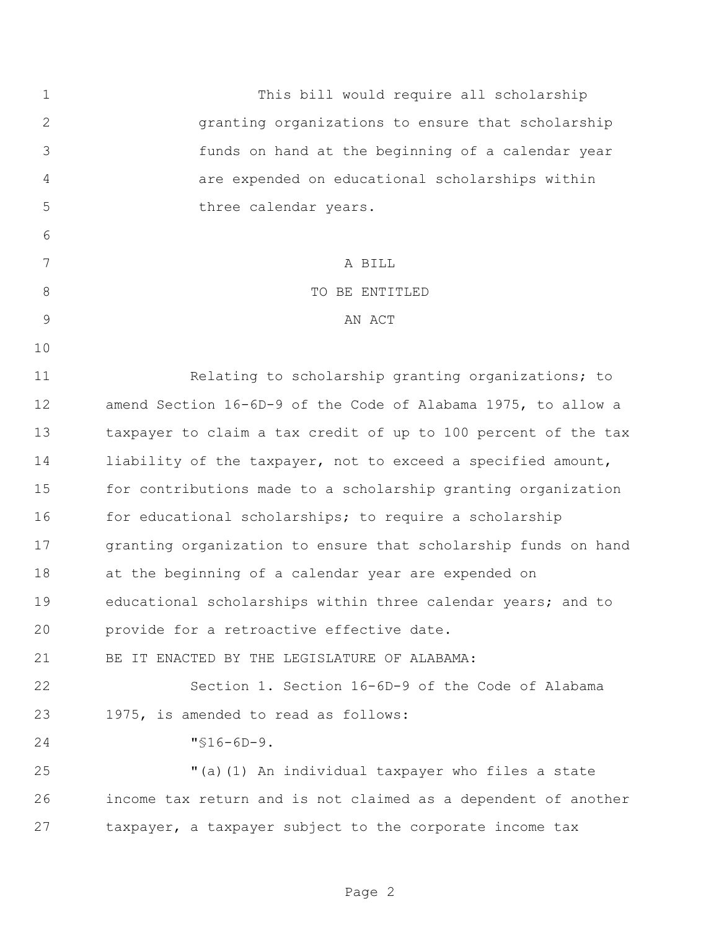This bill would require all scholarship granting organizations to ensure that scholarship funds on hand at the beginning of a calendar year are expended on educational scholarships within 5 three calendar years. A BILL 8 STRIP TO BE ENTITLED 9 AN ACT Relating to scholarship granting organizations; to amend Section 16-6D-9 of the Code of Alabama 1975, to allow a taxpayer to claim a tax credit of up to 100 percent of the tax liability of the taxpayer, not to exceed a specified amount, for contributions made to a scholarship granting organization 16 for educational scholarships; to require a scholarship granting organization to ensure that scholarship funds on hand at the beginning of a calendar year are expended on educational scholarships within three calendar years; and to provide for a retroactive effective date. BE IT ENACTED BY THE LEGISLATURE OF ALABAMA: Section 1. Section 16-6D-9 of the Code of Alabama 1975, is amended to read as follows: "§16-6D-9. "(a)(1) An individual taxpayer who files a state income tax return and is not claimed as a dependent of another taxpayer, a taxpayer subject to the corporate income tax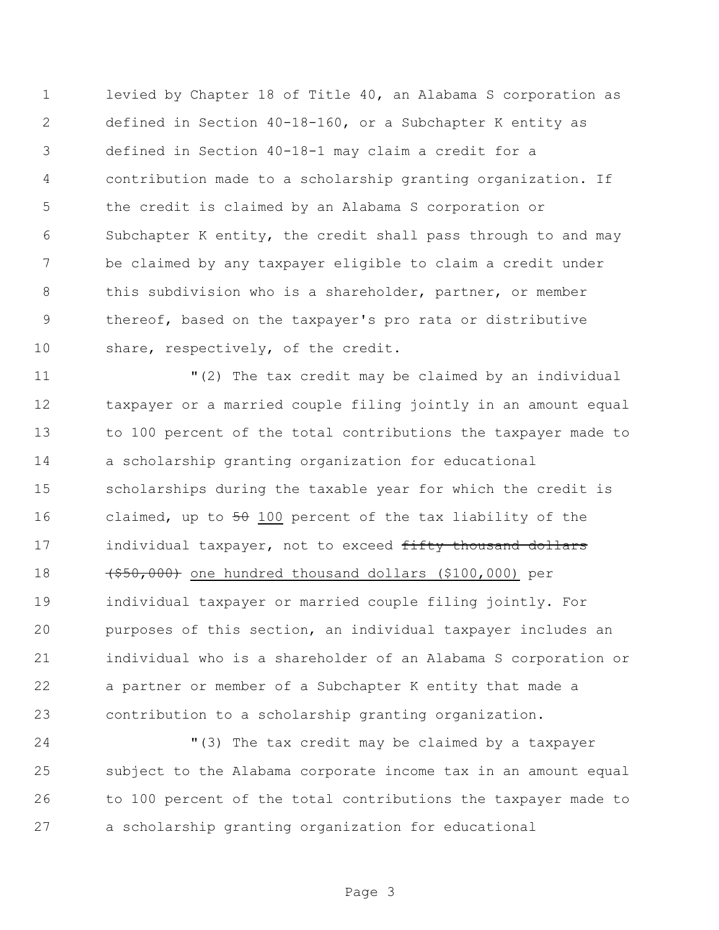levied by Chapter 18 of Title 40, an Alabama S corporation as defined in Section 40-18-160, or a Subchapter K entity as defined in Section 40-18-1 may claim a credit for a contribution made to a scholarship granting organization. If the credit is claimed by an Alabama S corporation or Subchapter K entity, the credit shall pass through to and may be claimed by any taxpayer eligible to claim a credit under this subdivision who is a shareholder, partner, or member thereof, based on the taxpayer's pro rata or distributive 10 share, respectively, of the credit.

 "(2) The tax credit may be claimed by an individual taxpayer or a married couple filing jointly in an amount equal to 100 percent of the total contributions the taxpayer made to a scholarship granting organization for educational scholarships during the taxable year for which the credit is 16 claimed, up to 50 100 percent of the tax liability of the 17 individual taxpayer, not to exceed fifty thousand dollars (\$50,000) one hundred thousand dollars (\$100,000) per individual taxpayer or married couple filing jointly. For purposes of this section, an individual taxpayer includes an individual who is a shareholder of an Alabama S corporation or a partner or member of a Subchapter K entity that made a contribution to a scholarship granting organization.

 "(3) The tax credit may be claimed by a taxpayer subject to the Alabama corporate income tax in an amount equal to 100 percent of the total contributions the taxpayer made to a scholarship granting organization for educational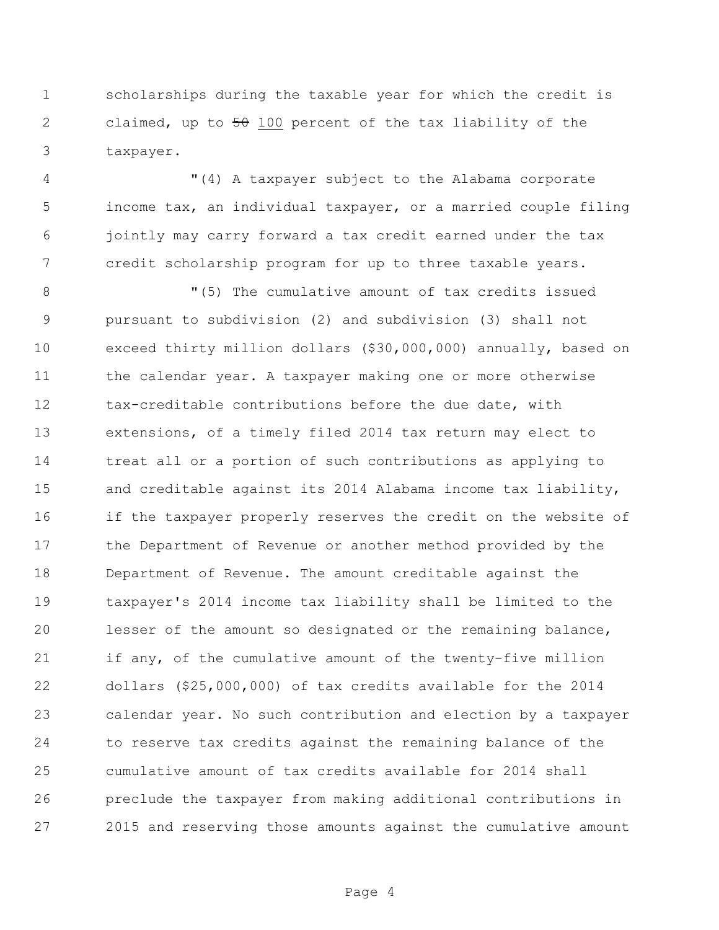scholarships during the taxable year for which the credit is 2 claimed, up to 50 100 percent of the tax liability of the taxpayer.

 "(4) A taxpayer subject to the Alabama corporate income tax, an individual taxpayer, or a married couple filing jointly may carry forward a tax credit earned under the tax credit scholarship program for up to three taxable years.

8 The cumulative amount of tax credits issued pursuant to subdivision (2) and subdivision (3) shall not exceed thirty million dollars (\$30,000,000) annually, based on the calendar year. A taxpayer making one or more otherwise tax-creditable contributions before the due date, with extensions, of a timely filed 2014 tax return may elect to treat all or a portion of such contributions as applying to and creditable against its 2014 Alabama income tax liability, if the taxpayer properly reserves the credit on the website of the Department of Revenue or another method provided by the Department of Revenue. The amount creditable against the taxpayer's 2014 income tax liability shall be limited to the lesser of the amount so designated or the remaining balance, 21 if any, of the cumulative amount of the twenty-five million dollars (\$25,000,000) of tax credits available for the 2014 calendar year. No such contribution and election by a taxpayer to reserve tax credits against the remaining balance of the cumulative amount of tax credits available for 2014 shall preclude the taxpayer from making additional contributions in 2015 and reserving those amounts against the cumulative amount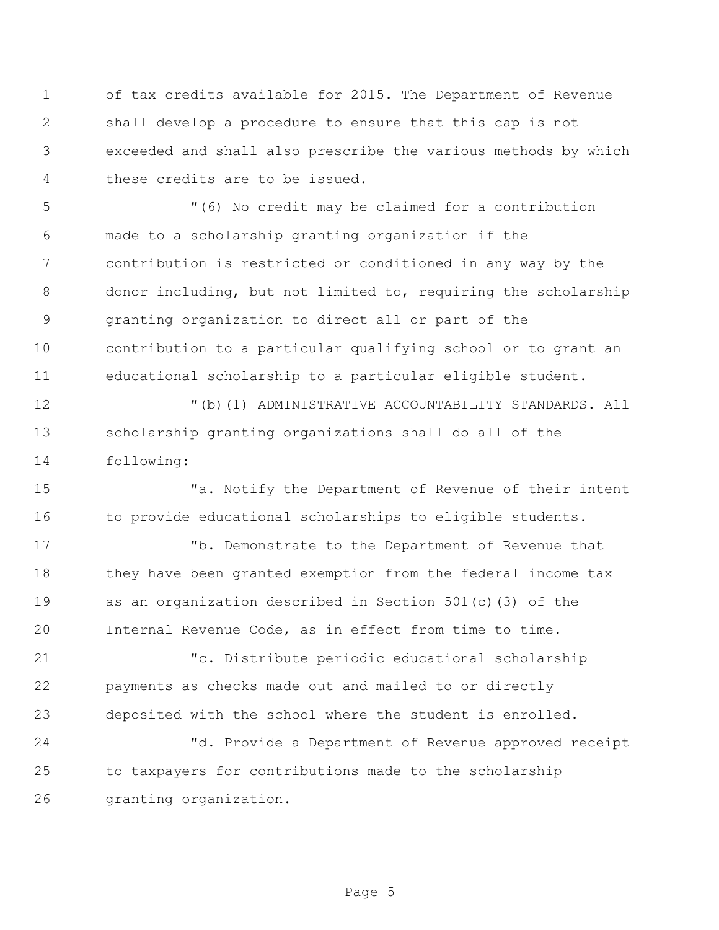of tax credits available for 2015. The Department of Revenue shall develop a procedure to ensure that this cap is not exceeded and shall also prescribe the various methods by which these credits are to be issued.

 "(6) No credit may be claimed for a contribution made to a scholarship granting organization if the contribution is restricted or conditioned in any way by the donor including, but not limited to, requiring the scholarship granting organization to direct all or part of the contribution to a particular qualifying school or to grant an educational scholarship to a particular eligible student.

 "(b)(1) ADMINISTRATIVE ACCOUNTABILITY STANDARDS. All scholarship granting organizations shall do all of the following:

 "a. Notify the Department of Revenue of their intent 16 to provide educational scholarships to eligible students.

 "b. Demonstrate to the Department of Revenue that they have been granted exemption from the federal income tax as an organization described in Section 501(c)(3) of the Internal Revenue Code, as in effect from time to time.

 "c. Distribute periodic educational scholarship payments as checks made out and mailed to or directly deposited with the school where the student is enrolled.

 "d. Provide a Department of Revenue approved receipt to taxpayers for contributions made to the scholarship granting organization.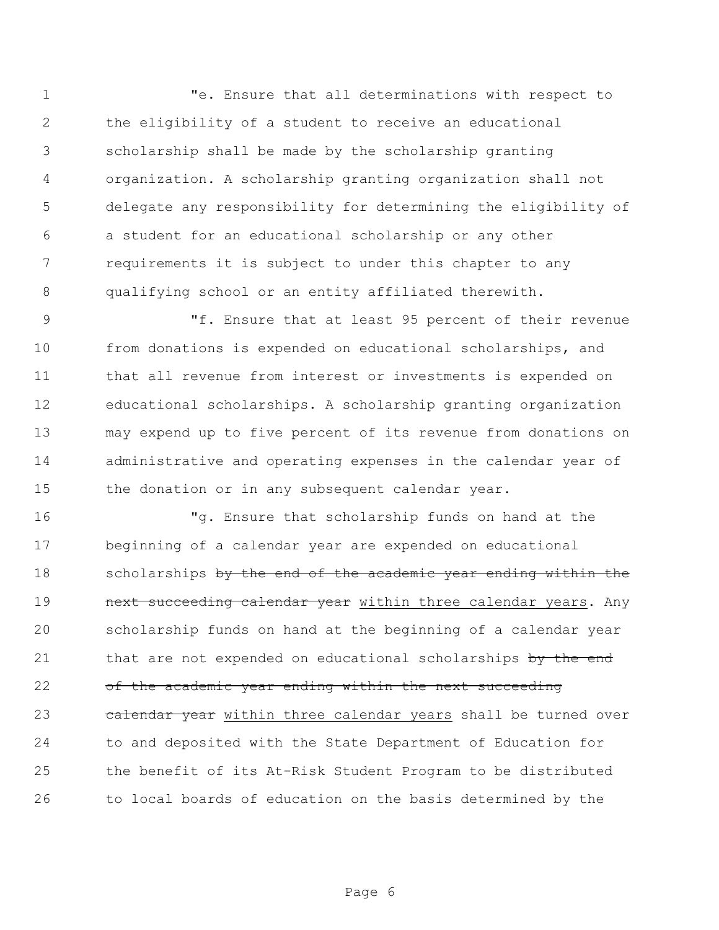"e. Ensure that all determinations with respect to the eligibility of a student to receive an educational scholarship shall be made by the scholarship granting organization. A scholarship granting organization shall not delegate any responsibility for determining the eligibility of a student for an educational scholarship or any other requirements it is subject to under this chapter to any qualifying school or an entity affiliated therewith.

 "f. Ensure that at least 95 percent of their revenue from donations is expended on educational scholarships, and that all revenue from interest or investments is expended on educational scholarships. A scholarship granting organization may expend up to five percent of its revenue from donations on administrative and operating expenses in the calendar year of 15 the donation or in any subsequent calendar year.

 "g. Ensure that scholarship funds on hand at the beginning of a calendar year are expended on educational 18 scholarships by the end of the academic year ending within the **next succeeding calendar year** within three calendar years. Any scholarship funds on hand at the beginning of a calendar year 21 that are not expended on educational scholarships by the end 22 of the academic year ending within the next succeeding 23 calendar year within three calendar years shall be turned over to and deposited with the State Department of Education for the benefit of its At-Risk Student Program to be distributed to local boards of education on the basis determined by the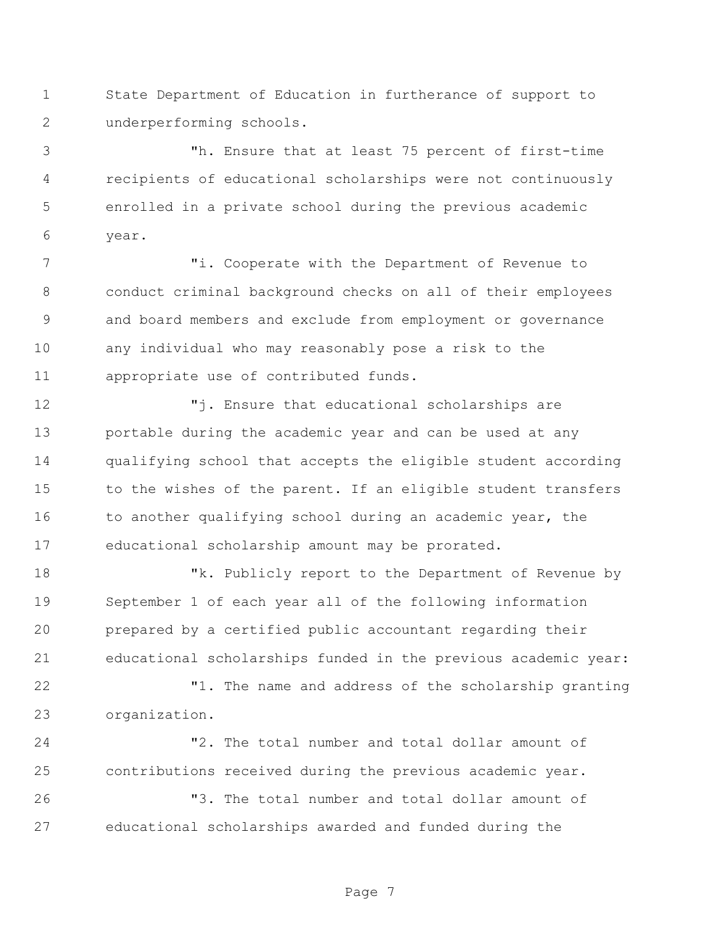State Department of Education in furtherance of support to underperforming schools.

 "h. Ensure that at least 75 percent of first-time recipients of educational scholarships were not continuously enrolled in a private school during the previous academic year.

 "i. Cooperate with the Department of Revenue to conduct criminal background checks on all of their employees and board members and exclude from employment or governance any individual who may reasonably pose a risk to the appropriate use of contributed funds.

 "j. Ensure that educational scholarships are portable during the academic year and can be used at any qualifying school that accepts the eligible student according 15 to the wishes of the parent. If an eligible student transfers 16 to another qualifying school during an academic year, the educational scholarship amount may be prorated.

18 The Muslicly report to the Department of Revenue by September 1 of each year all of the following information prepared by a certified public accountant regarding their educational scholarships funded in the previous academic year:

 "1. The name and address of the scholarship granting organization.

 "2. The total number and total dollar amount of contributions received during the previous academic year.

 "3. The total number and total dollar amount of educational scholarships awarded and funded during the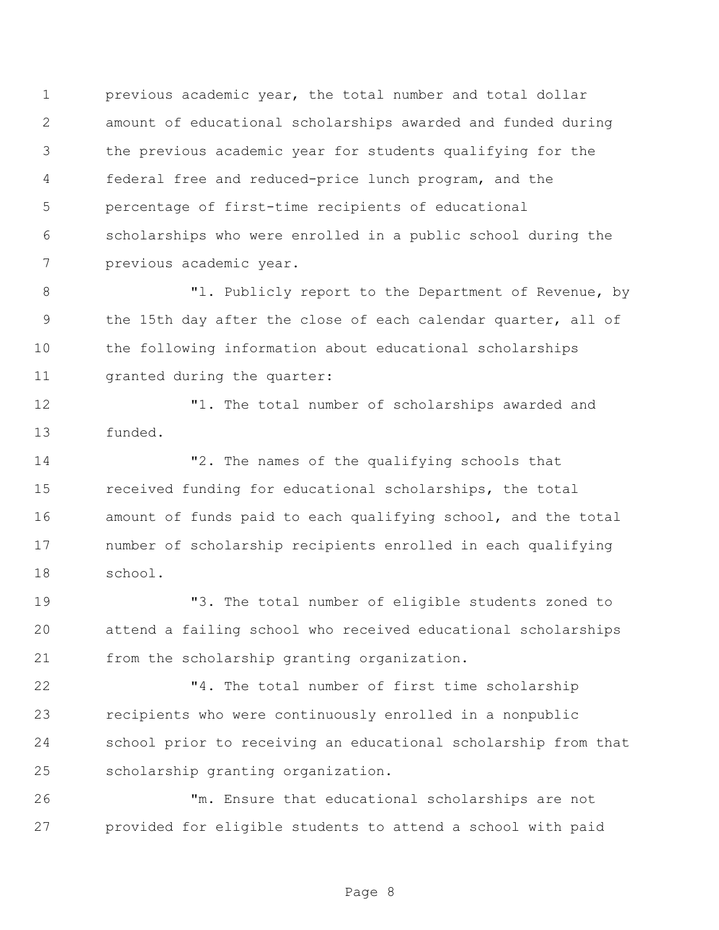previous academic year, the total number and total dollar amount of educational scholarships awarded and funded during the previous academic year for students qualifying for the federal free and reduced-price lunch program, and the percentage of first-time recipients of educational scholarships who were enrolled in a public school during the previous academic year.

 "l. Publicly report to the Department of Revenue, by the 15th day after the close of each calendar quarter, all of the following information about educational scholarships granted during the quarter:

 "1. The total number of scholarships awarded and funded.

 "2. The names of the qualifying schools that received funding for educational scholarships, the total amount of funds paid to each qualifying school, and the total number of scholarship recipients enrolled in each qualifying school.

 "3. The total number of eligible students zoned to attend a failing school who received educational scholarships from the scholarship granting organization.

 "4. The total number of first time scholarship recipients who were continuously enrolled in a nonpublic school prior to receiving an educational scholarship from that scholarship granting organization.

 "m. Ensure that educational scholarships are not provided for eligible students to attend a school with paid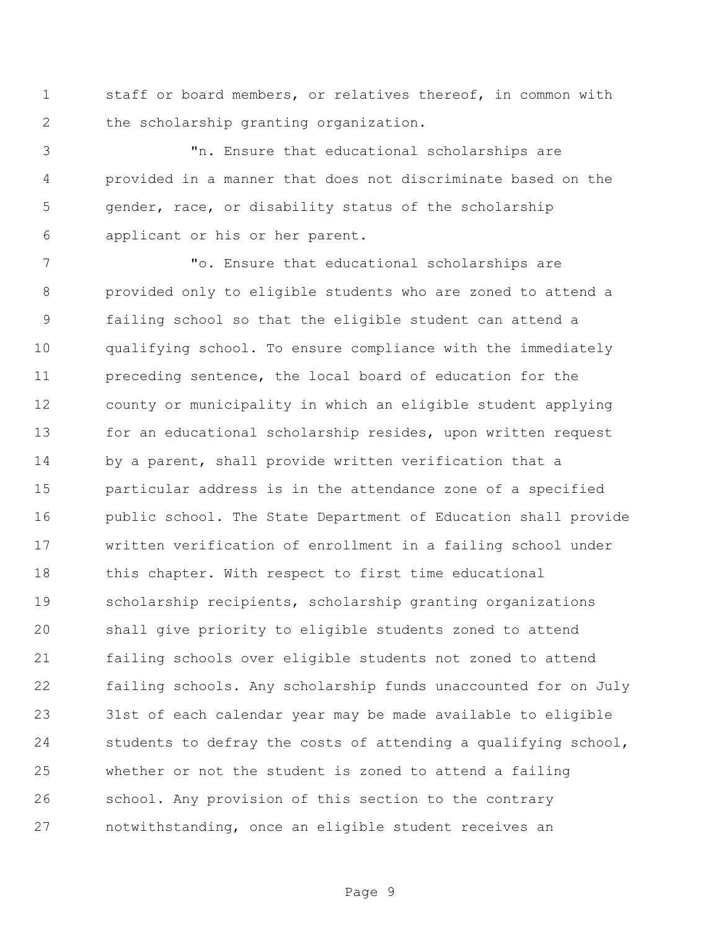staff or board members, or relatives thereof, in common with the scholarship granting organization.

 "n. Ensure that educational scholarships are provided in a manner that does not discriminate based on the gender, race, or disability status of the scholarship applicant or his or her parent.

 "o. Ensure that educational scholarships are provided only to eligible students who are zoned to attend a failing school so that the eligible student can attend a qualifying school. To ensure compliance with the immediately preceding sentence, the local board of education for the county or municipality in which an eligible student applying for an educational scholarship resides, upon written request by a parent, shall provide written verification that a particular address is in the attendance zone of a specified public school. The State Department of Education shall provide written verification of enrollment in a failing school under 18 this chapter. With respect to first time educational scholarship recipients, scholarship granting organizations shall give priority to eligible students zoned to attend failing schools over eligible students not zoned to attend failing schools. Any scholarship funds unaccounted for on July 31st of each calendar year may be made available to eligible students to defray the costs of attending a qualifying school, whether or not the student is zoned to attend a failing school. Any provision of this section to the contrary notwithstanding, once an eligible student receives an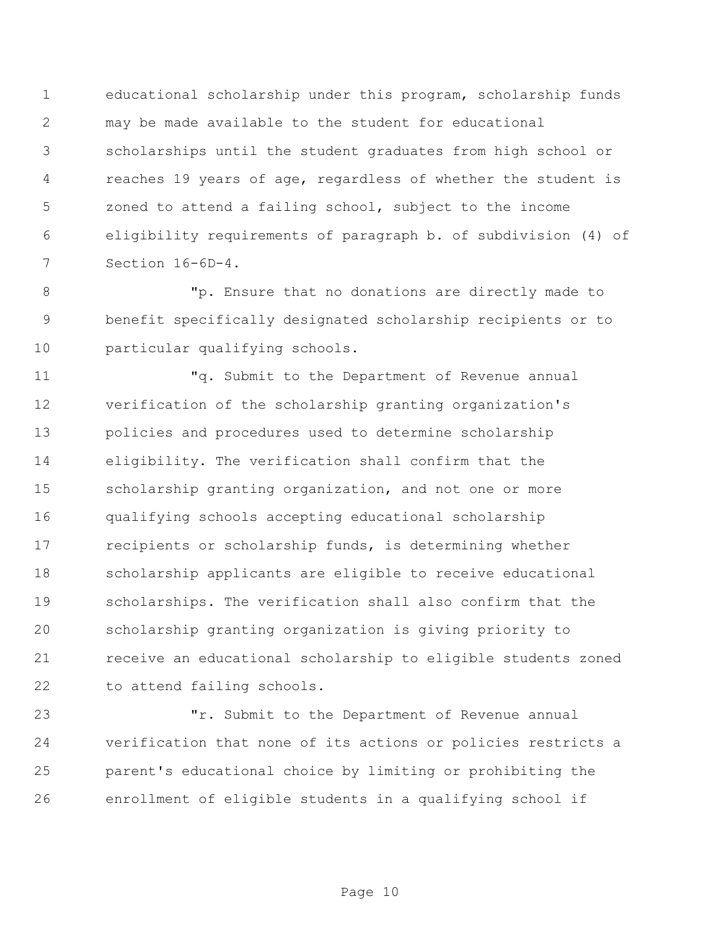educational scholarship under this program, scholarship funds may be made available to the student for educational scholarships until the student graduates from high school or reaches 19 years of age, regardless of whether the student is zoned to attend a failing school, subject to the income eligibility requirements of paragraph b. of subdivision (4) of Section 16-6D-4.

 "p. Ensure that no donations are directly made to benefit specifically designated scholarship recipients or to particular qualifying schools.

 "q. Submit to the Department of Revenue annual verification of the scholarship granting organization's policies and procedures used to determine scholarship eligibility. The verification shall confirm that the scholarship granting organization, and not one or more qualifying schools accepting educational scholarship recipients or scholarship funds, is determining whether scholarship applicants are eligible to receive educational scholarships. The verification shall also confirm that the scholarship granting organization is giving priority to receive an educational scholarship to eligible students zoned to attend failing schools.

 "r. Submit to the Department of Revenue annual verification that none of its actions or policies restricts a parent's educational choice by limiting or prohibiting the enrollment of eligible students in a qualifying school if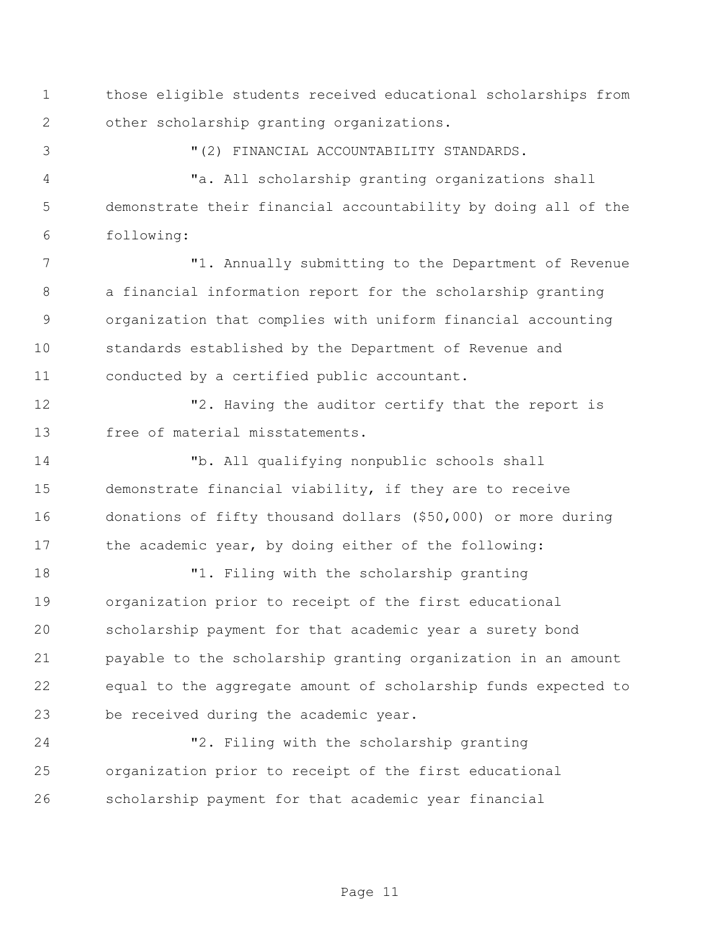those eligible students received educational scholarships from other scholarship granting organizations.

"(2) FINANCIAL ACCOUNTABILITY STANDARDS.

 "a. All scholarship granting organizations shall demonstrate their financial accountability by doing all of the following:

 "1. Annually submitting to the Department of Revenue a financial information report for the scholarship granting organization that complies with uniform financial accounting standards established by the Department of Revenue and conducted by a certified public accountant.

12 T2. Having the auditor certify that the report is free of material misstatements.

 "b. All qualifying nonpublic schools shall demonstrate financial viability, if they are to receive donations of fifty thousand dollars (\$50,000) or more during 17 the academic year, by doing either of the following:

 "1. Filing with the scholarship granting organization prior to receipt of the first educational scholarship payment for that academic year a surety bond payable to the scholarship granting organization in an amount equal to the aggregate amount of scholarship funds expected to be received during the academic year.

 "2. Filing with the scholarship granting organization prior to receipt of the first educational scholarship payment for that academic year financial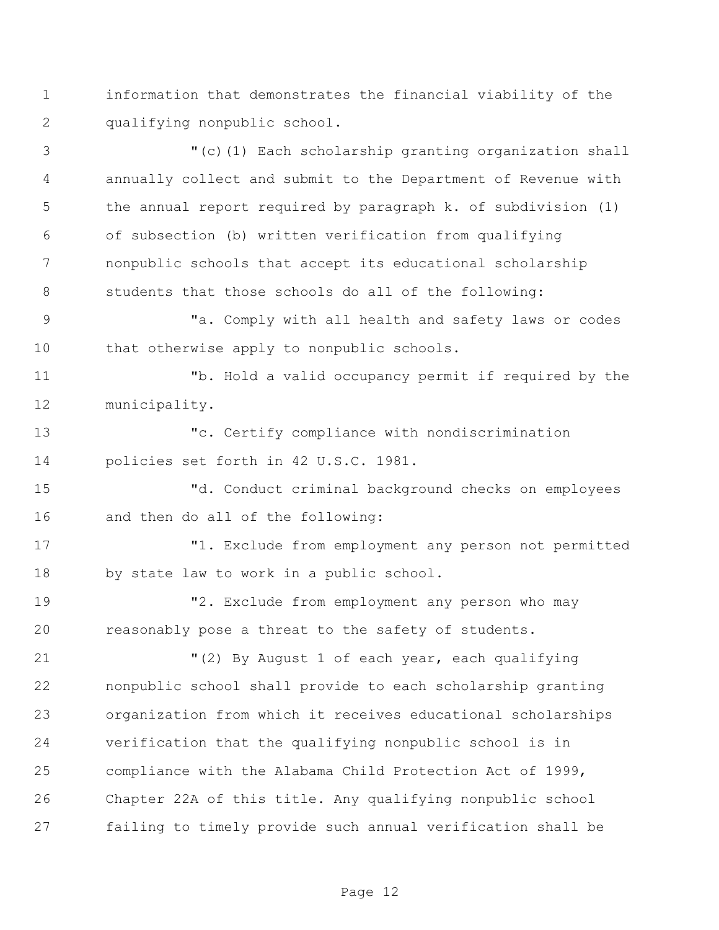information that demonstrates the financial viability of the qualifying nonpublic school.

 "(c)(1) Each scholarship granting organization shall annually collect and submit to the Department of Revenue with the annual report required by paragraph k. of subdivision (1) of subsection (b) written verification from qualifying nonpublic schools that accept its educational scholarship students that those schools do all of the following:

 "a. Comply with all health and safety laws or codes that otherwise apply to nonpublic schools.

 "b. Hold a valid occupancy permit if required by the municipality.

 "c. Certify compliance with nondiscrimination policies set forth in 42 U.S.C. 1981.

 "d. Conduct criminal background checks on employees and then do all of the following:

 "1. Exclude from employment any person not permitted by state law to work in a public school.

 "2. Exclude from employment any person who may reasonably pose a threat to the safety of students.

 "(2) By August 1 of each year, each qualifying nonpublic school shall provide to each scholarship granting organization from which it receives educational scholarships verification that the qualifying nonpublic school is in compliance with the Alabama Child Protection Act of 1999, Chapter 22A of this title. Any qualifying nonpublic school failing to timely provide such annual verification shall be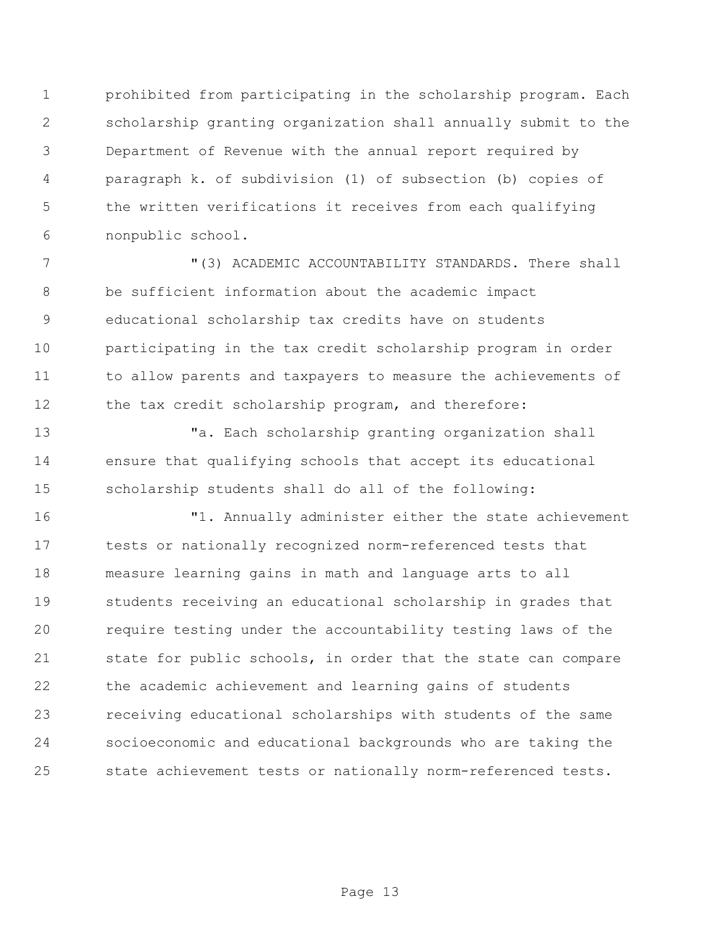prohibited from participating in the scholarship program. Each scholarship granting organization shall annually submit to the Department of Revenue with the annual report required by paragraph k. of subdivision (1) of subsection (b) copies of the written verifications it receives from each qualifying nonpublic school.

 "(3) ACADEMIC ACCOUNTABILITY STANDARDS. There shall be sufficient information about the academic impact educational scholarship tax credits have on students participating in the tax credit scholarship program in order to allow parents and taxpayers to measure the achievements of 12 the tax credit scholarship program, and therefore:

 "a. Each scholarship granting organization shall ensure that qualifying schools that accept its educational scholarship students shall do all of the following:

 "1. Annually administer either the state achievement tests or nationally recognized norm-referenced tests that measure learning gains in math and language arts to all students receiving an educational scholarship in grades that require testing under the accountability testing laws of the state for public schools, in order that the state can compare the academic achievement and learning gains of students receiving educational scholarships with students of the same socioeconomic and educational backgrounds who are taking the state achievement tests or nationally norm-referenced tests.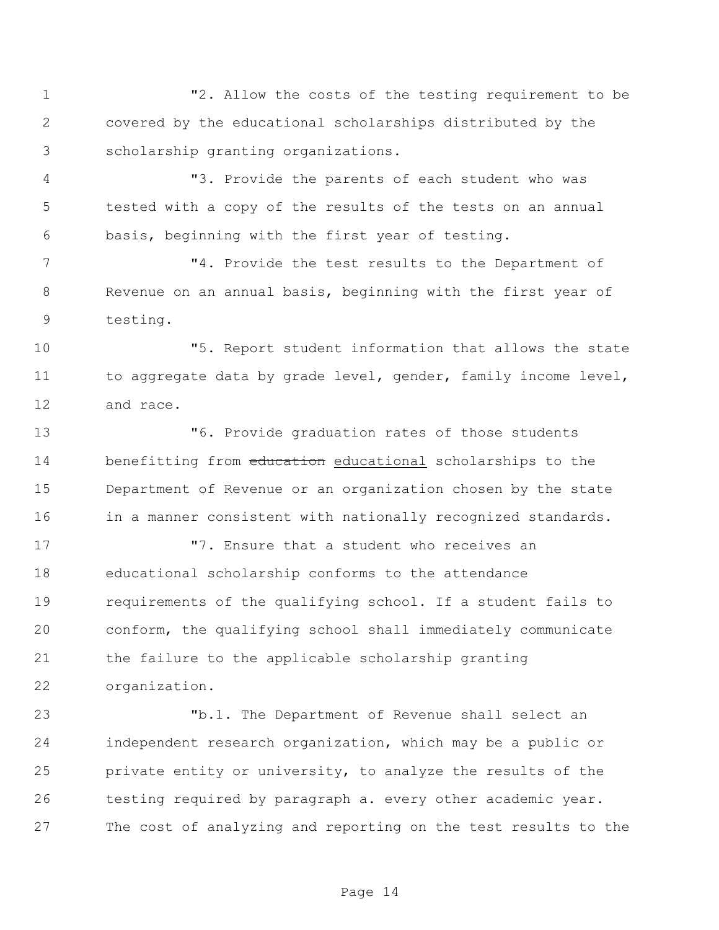"2. Allow the costs of the testing requirement to be covered by the educational scholarships distributed by the scholarship granting organizations.

 "3. Provide the parents of each student who was tested with a copy of the results of the tests on an annual basis, beginning with the first year of testing.

 "4. Provide the test results to the Department of Revenue on an annual basis, beginning with the first year of testing.

 "5. Report student information that allows the state 11 to aggregate data by grade level, gender, family income level, and race.

 "6. Provide graduation rates of those students 14 benefitting from education educational scholarships to the Department of Revenue or an organization chosen by the state 16 in a manner consistent with nationally recognized standards.

 "7. Ensure that a student who receives an educational scholarship conforms to the attendance requirements of the qualifying school. If a student fails to conform, the qualifying school shall immediately communicate the failure to the applicable scholarship granting organization.

 "b.1. The Department of Revenue shall select an independent research organization, which may be a public or private entity or university, to analyze the results of the testing required by paragraph a. every other academic year. The cost of analyzing and reporting on the test results to the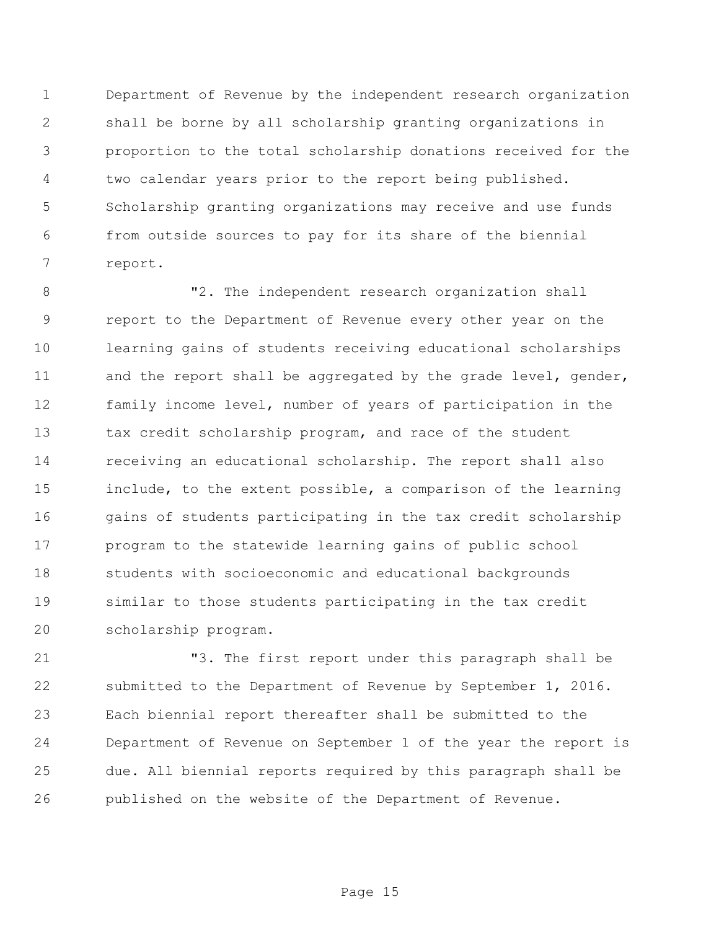Department of Revenue by the independent research organization shall be borne by all scholarship granting organizations in proportion to the total scholarship donations received for the two calendar years prior to the report being published. Scholarship granting organizations may receive and use funds from outside sources to pay for its share of the biennial report.

 "2. The independent research organization shall report to the Department of Revenue every other year on the learning gains of students receiving educational scholarships 11 and the report shall be aggregated by the grade level, gender, family income level, number of years of participation in the 13 tax credit scholarship program, and race of the student receiving an educational scholarship. The report shall also include, to the extent possible, a comparison of the learning gains of students participating in the tax credit scholarship program to the statewide learning gains of public school students with socioeconomic and educational backgrounds similar to those students participating in the tax credit scholarship program.

 "3. The first report under this paragraph shall be submitted to the Department of Revenue by September 1, 2016. Each biennial report thereafter shall be submitted to the Department of Revenue on September 1 of the year the report is due. All biennial reports required by this paragraph shall be published on the website of the Department of Revenue.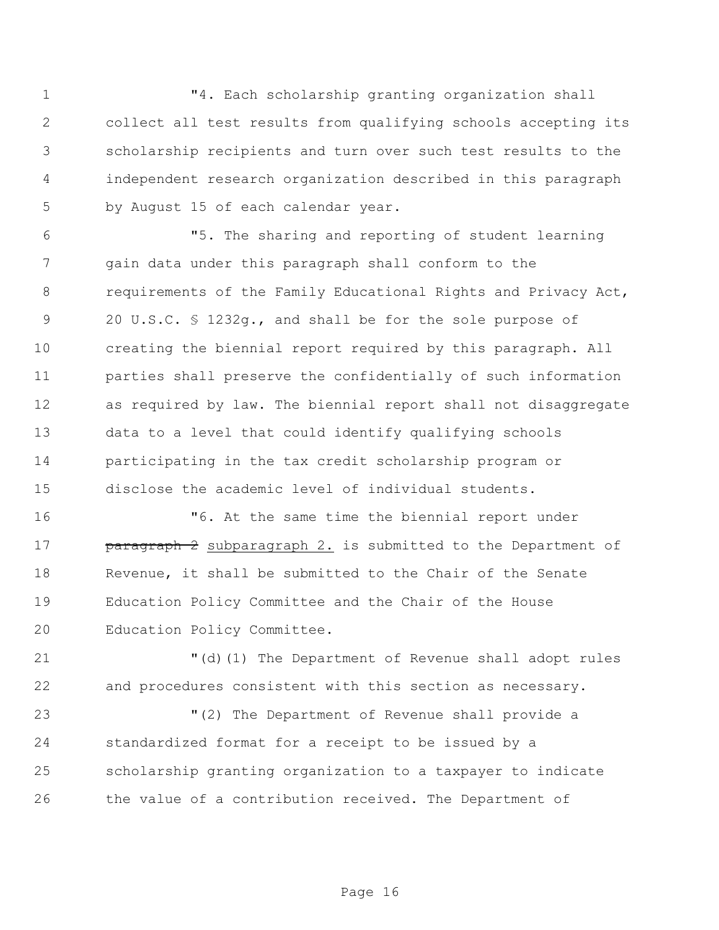1 T4. Each scholarship granting organization shall collect all test results from qualifying schools accepting its scholarship recipients and turn over such test results to the independent research organization described in this paragraph by August 15 of each calendar year.

 "5. The sharing and reporting of student learning gain data under this paragraph shall conform to the requirements of the Family Educational Rights and Privacy Act, 20 U.S.C. § 1232g., and shall be for the sole purpose of creating the biennial report required by this paragraph. All parties shall preserve the confidentially of such information as required by law. The biennial report shall not disaggregate data to a level that could identify qualifying schools participating in the tax credit scholarship program or disclose the academic level of individual students.

 "6. At the same time the biennial report under **paragraph 2** subparagraph 2. is submitted to the Department of Revenue, it shall be submitted to the Chair of the Senate Education Policy Committee and the Chair of the House Education Policy Committee.

 "(d)(1) The Department of Revenue shall adopt rules and procedures consistent with this section as necessary.

 "(2) The Department of Revenue shall provide a standardized format for a receipt to be issued by a scholarship granting organization to a taxpayer to indicate the value of a contribution received. The Department of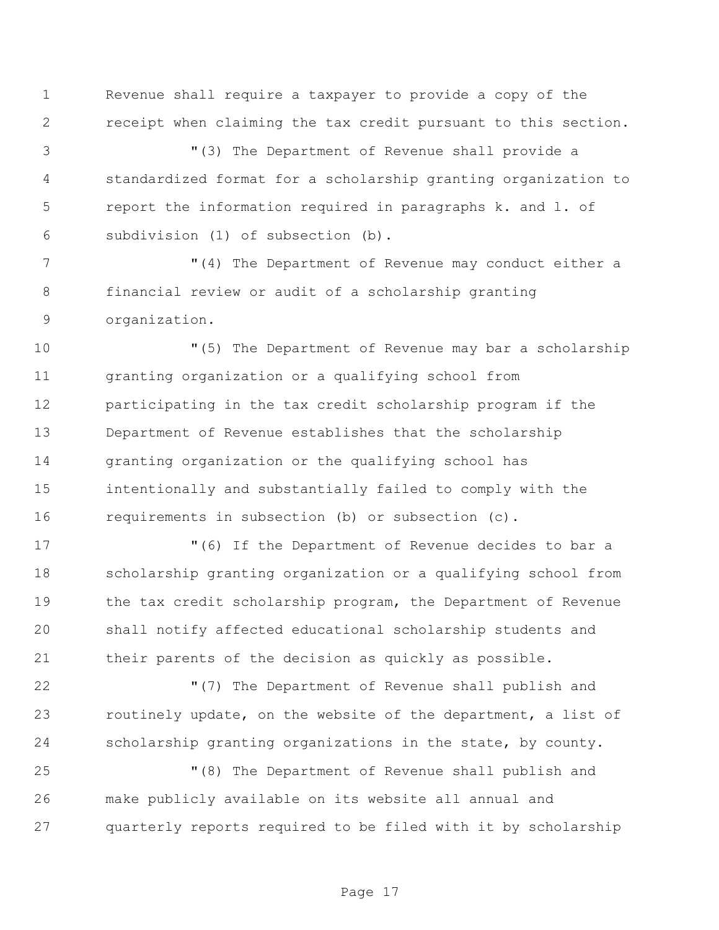Revenue shall require a taxpayer to provide a copy of the receipt when claiming the tax credit pursuant to this section.

 "(3) The Department of Revenue shall provide a standardized format for a scholarship granting organization to report the information required in paragraphs k. and l. of subdivision (1) of subsection (b).

 "(4) The Department of Revenue may conduct either a financial review or audit of a scholarship granting organization.

 "(5) The Department of Revenue may bar a scholarship granting organization or a qualifying school from participating in the tax credit scholarship program if the Department of Revenue establishes that the scholarship granting organization or the qualifying school has intentionally and substantially failed to comply with the requirements in subsection (b) or subsection (c).

 "(6) If the Department of Revenue decides to bar a scholarship granting organization or a qualifying school from the tax credit scholarship program, the Department of Revenue shall notify affected educational scholarship students and their parents of the decision as quickly as possible.

 "(7) The Department of Revenue shall publish and routinely update, on the website of the department, a list of scholarship granting organizations in the state, by county.

 "(8) The Department of Revenue shall publish and make publicly available on its website all annual and quarterly reports required to be filed with it by scholarship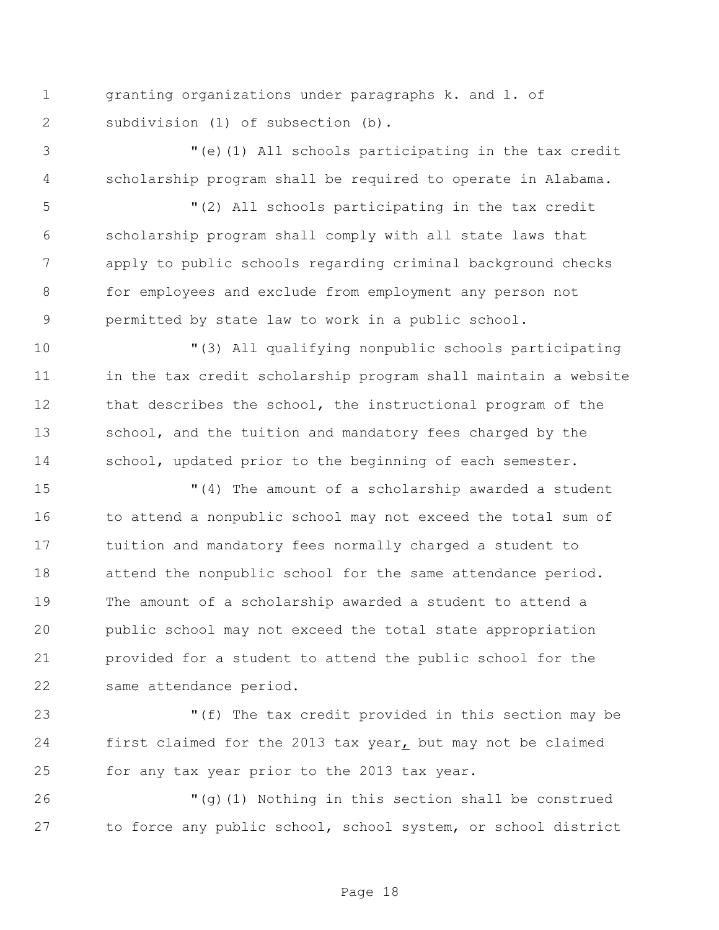granting organizations under paragraphs k. and l. of subdivision (1) of subsection (b).

 "(e)(1) All schools participating in the tax credit scholarship program shall be required to operate in Alabama.

 "(2) All schools participating in the tax credit scholarship program shall comply with all state laws that apply to public schools regarding criminal background checks for employees and exclude from employment any person not permitted by state law to work in a public school.

 "(3) All qualifying nonpublic schools participating in the tax credit scholarship program shall maintain a website that describes the school, the instructional program of the 13 school, and the tuition and mandatory fees charged by the school, updated prior to the beginning of each semester.

 "(4) The amount of a scholarship awarded a student 16 to attend a nonpublic school may not exceed the total sum of tuition and mandatory fees normally charged a student to 18 attend the nonpublic school for the same attendance period. The amount of a scholarship awarded a student to attend a public school may not exceed the total state appropriation provided for a student to attend the public school for the same attendance period.

 "(f) The tax credit provided in this section may be first claimed for the 2013 tax year, but may not be claimed for any tax year prior to the 2013 tax year.

 "(g)(1) Nothing in this section shall be construed to force any public school, school system, or school district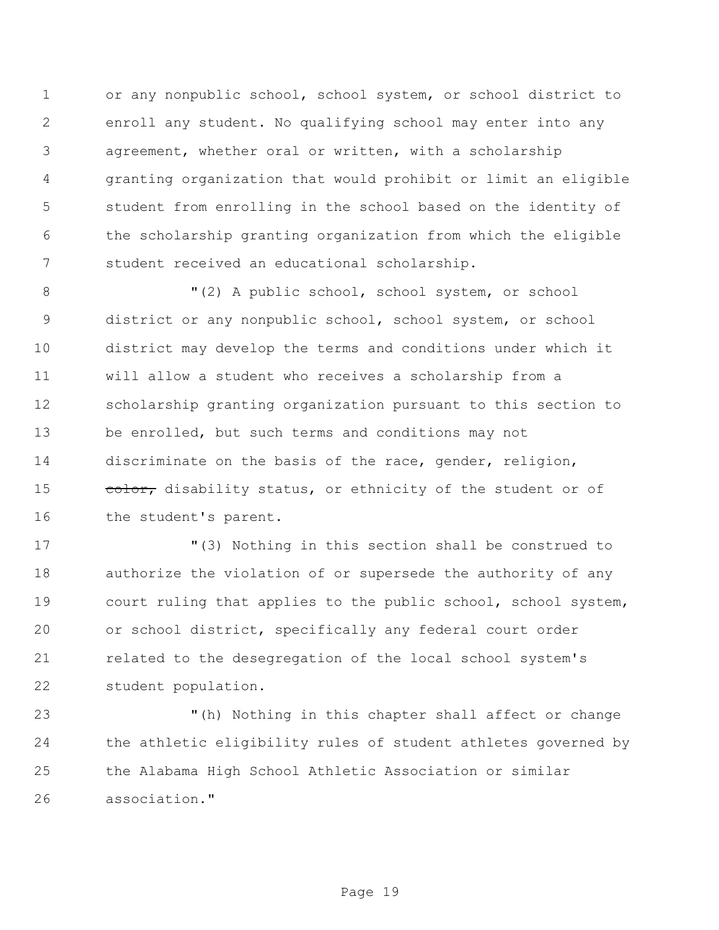or any nonpublic school, school system, or school district to enroll any student. No qualifying school may enter into any agreement, whether oral or written, with a scholarship granting organization that would prohibit or limit an eligible student from enrolling in the school based on the identity of the scholarship granting organization from which the eligible student received an educational scholarship.

 $(2)$  A public school, school system, or school district or any nonpublic school, school system, or school district may develop the terms and conditions under which it will allow a student who receives a scholarship from a scholarship granting organization pursuant to this section to be enrolled, but such terms and conditions may not discriminate on the basis of the race, gender, religion, 15 color, disability status, or ethnicity of the student or of 16 the student's parent.

 "(3) Nothing in this section shall be construed to authorize the violation of or supersede the authority of any court ruling that applies to the public school, school system, or school district, specifically any federal court order related to the desegregation of the local school system's student population.

 "(h) Nothing in this chapter shall affect or change the athletic eligibility rules of student athletes governed by the Alabama High School Athletic Association or similar association."